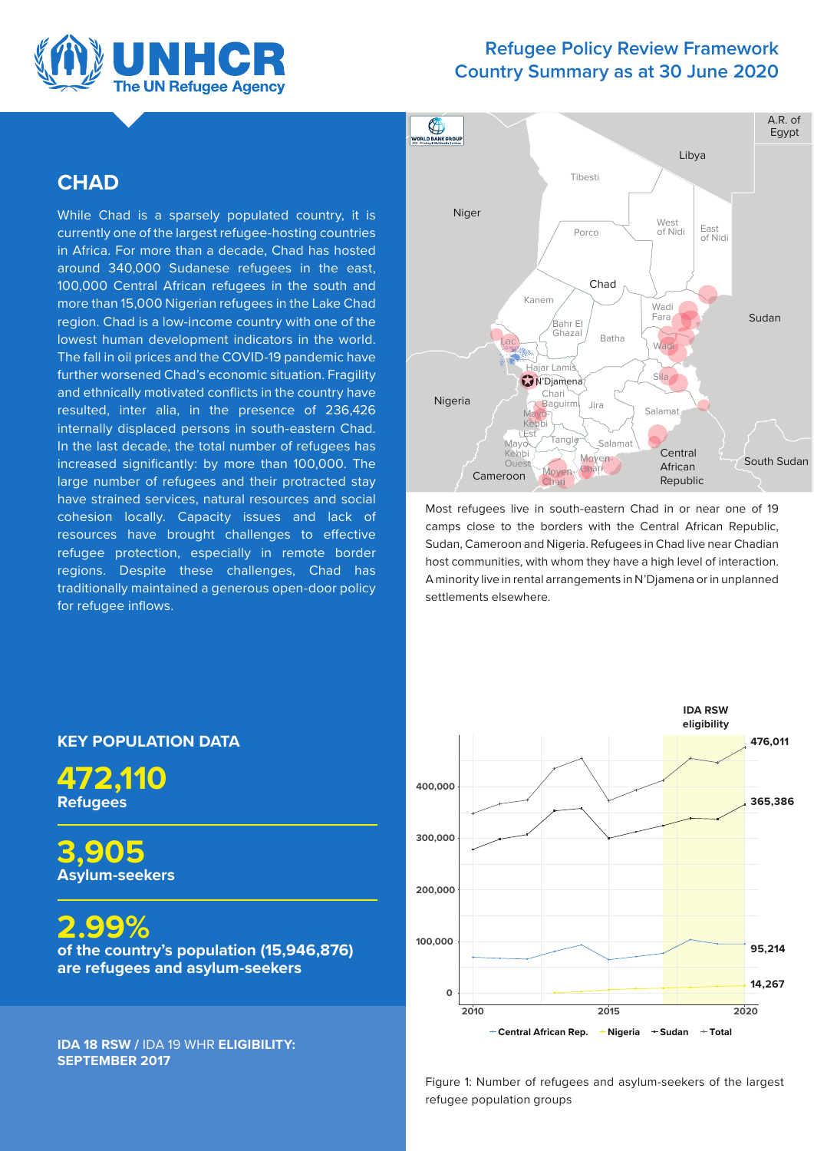

# **Refugee Policy Review Framework Country Summary as at 30 June 2020**

# **CHAD**

While Chad is a sparsely populated country, it is currently one of the largest refugee-hosting countries in Africa. For more than a decade, Chad has hosted around 340,000 Sudanese refugees in the east, 100,000 Central African refugees in the south and more than 15,000 Nigerian refugees in the Lake Chad region. Chad is a low-income country with one of the lowest human development indicators in the world. The fall in oil prices and the COVID-19 pandemic have further worsened Chad's economic situation. Fragility and ethnically motivated conflicts in the country have resulted, inter alia, in the presence of 236,426 internally displaced persons in south-eastern Chad. In the last decade, the total number of refugees has increased significantly: by more than 100,000. The large number of refugees and their protracted stay have strained services, natural resources and social cohesion locally. Capacity issues and lack of resources have brought challenges to effective refugee protection, especially in remote border regions. Despite these challenges, Chad has traditionally maintained a generous open-door policy for refugee inflows.



Most refugees live in south-eastern Chad in or near one of 19 camps close to the borders with the Central African Republic, Sudan, Cameroon and Nigeria. Refugees in Chad live near Chadian host communities, with whom they have a high level of interaction. A minority live in rental arrangements in N'Djamena or in unplanned settlements elsewhere.



Figure 1: Number of refugees and asylum-seekers of the largest refugee population groups

# **KEY POPULATION DATA**

**472,110 Refugees** 

**3,905 Asylum-seekers** 

**2.99%** 

**of the country's population (15,946,876) are refugees and asylum-seekers** 

**IDA 18 RSW /** IDA 19 WHR **ELIGIBILITY: SEPTEMBER 2017**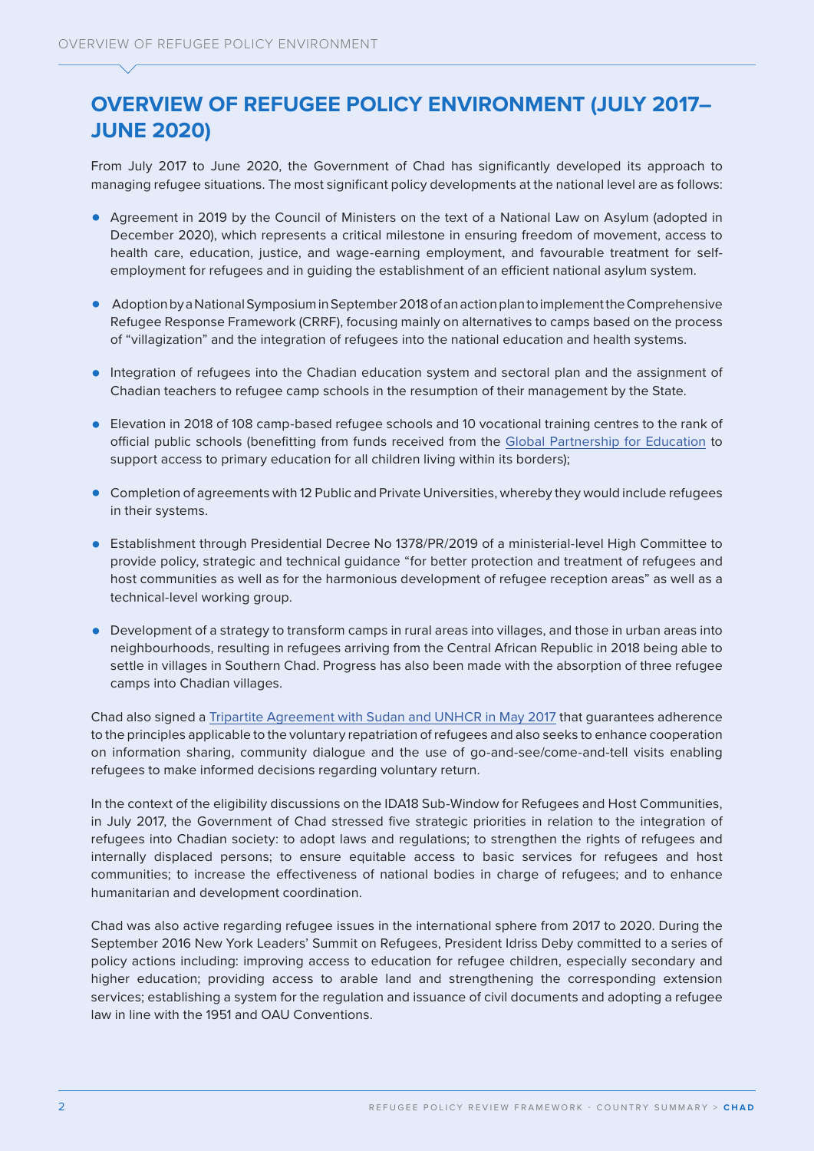# **OVERVIEW OF REFUGEE POLICY ENVIRONMENT (JULY 2017– JUNE 2020)**

From July 2017 to June 2020, the Government of Chad has significantly developed its approach to managing refugee situations. The most significant policy developments at the national level are as follows:

- **•** Agreement in 2019 by the Council of Ministers on the text of a National Law on Asylum (adopted in December 2020), which represents a critical milestone in ensuring freedom of movement, access to health care, education, justice, and wage-earning employment, and favourable treatment for selfemployment for refugees and in guiding the establishment of an efficient national asylum system.
- **•** Adoption by a National Symposium in September 2018 of an action plan to implement the Comprehensive Refugee Response Framework (CRRF), focusing mainly on alternatives to camps based on the process of "villagization" and the integration of refugees into the national education and health systems.
- **•** Integration of refugees into the Chadian education system and sectoral plan and the assignment of Chadian teachers to refugee camp schools in the resumption of their management by the State.
- **•** Elevation in 2018 of 108 camp-based refugee schools and 10 vocational training centres to the rank of official public schools (benefitting from funds received from the [Global Partnership for Education](https://www.globalpartnership.org/where-we-work/chad) to support access to primary education for all children living within its borders);
- **•** Completion of agreements with 12 Public and Private Universities, whereby they would include refugees in their systems.
- **•** Establishment through Presidential Decree No 1378/PR/2019 of a ministerial-level High Committee to provide policy, strategic and technical guidance "for better protection and treatment of refugees and host communities as well as for the harmonious development of refugee reception areas" as well as a technical-level working group.
- **•** Development of a strategy to transform camps in rural areas into villages, and those in urban areas into neighbourhoods, resulting in refugees arriving from the Central African Republic in 2018 being able to settle in villages in Southern Chad. Progress has also been made with the absorption of three refugee camps into Chadian villages.

Chad also signed a [Tripartite Agreement with Sudan and UNHCR in May 2017](https://www.refworld.org/docid/609efd534.html) that guarantees adherence to the principles applicable to the voluntary repatriation of refugees and also seeks to enhance cooperation on information sharing, community dialogue and the use of go-and-see/come-and-tell visits enabling refugees to make informed decisions regarding voluntary return.

In the context of the eligibility discussions on the IDA18 Sub-Window for Refugees and Host Communities, in July 2017, the Government of Chad stressed five strategic priorities in relation to the integration of refugees into Chadian society: to adopt laws and regulations; to strengthen the rights of refugees and internally displaced persons; to ensure equitable access to basic services for refugees and host communities; to increase the effectiveness of national bodies in charge of refugees; and to enhance humanitarian and development coordination.

Chad was also active regarding refugee issues in the international sphere from 2017 to 2020. During the September 2016 New York Leaders' Summit on Refugees, President Idriss Deby committed to a series of policy actions including: improving access to education for refugee children, especially secondary and higher education; providing access to arable land and strengthening the corresponding extension services; establishing a system for the regulation and issuance of civil documents and adopting a refugee law in line with the 1951 and OAU Conventions.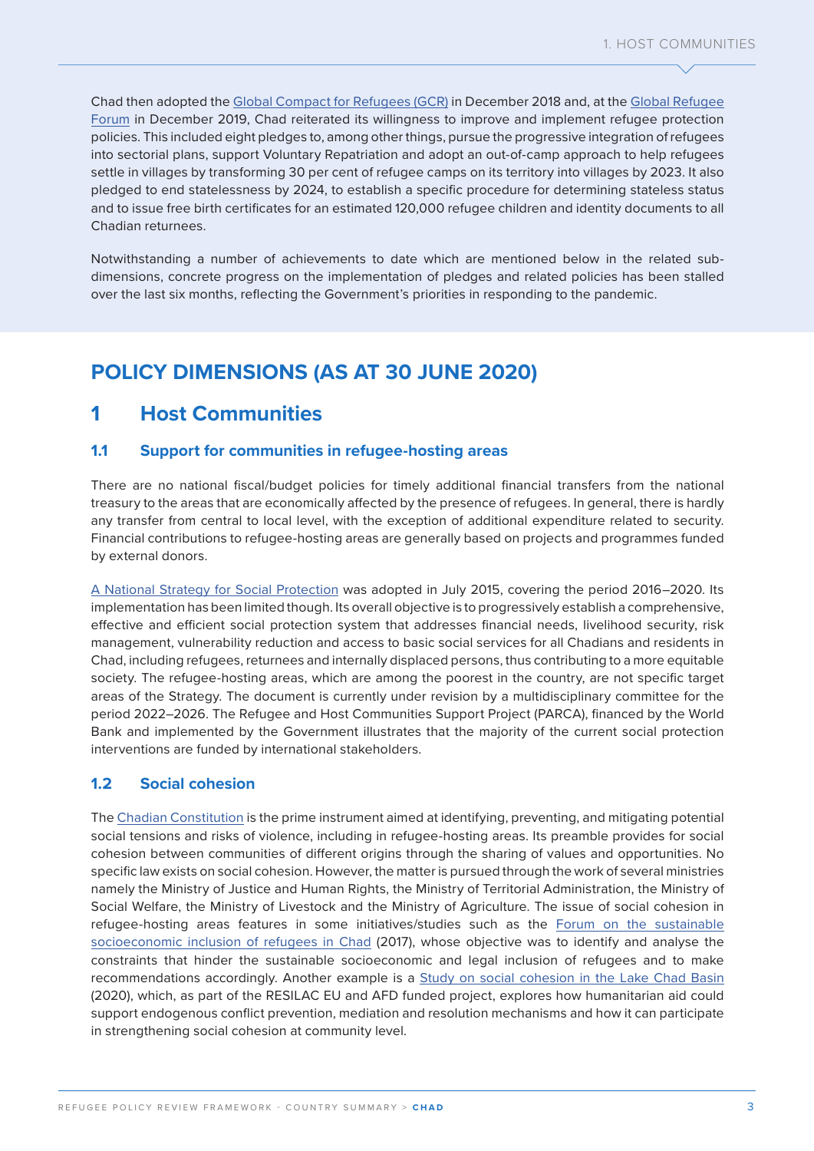Chad then adopted the [Global Compact for Refugees \(GCR\)](https://globalcompactrefugees.org/article/chad) in December 2018 and, at the [Global Refugee](https://www.unhcr.org/global-refugee-forum.html)  [Forum](https://www.unhcr.org/global-refugee-forum.html) in December 2019, Chad reiterated its willingness to improve and implement refugee protection policies. This included eight pledges to, among other things, pursue the progressive integration of refugees into sectorial plans, support Voluntary Repatriation and adopt an out-of-camp approach to help refugees settle in villages by transforming 30 per cent of refugee camps on its territory into villages by 2023. It also pledged to end statelessness by 2024, to establish a specific procedure for determining stateless status and to issue free birth certificates for an estimated 120,000 refugee children and identity documents to all Chadian returnees.

Notwithstanding a number of achievements to date which are mentioned below in the related subdimensions, concrete progress on the implementation of pledges and related policies has been stalled over the last six months, reflecting the Government's priorities in responding to the pandemic.

# **POLICY DIMENSIONS (AS AT 30 JUNE 2020)**

# **1 Host Communities**

### **1.1 Support for communities in refugee-hosting areas**

There are no national fiscal/budget policies for timely additional financial transfers from the national treasury to the areas that are economically affected by the presence of refugees. In general, there is hardly any transfer from central to local level, with the exception of additional expenditure related to security. Financial contributions to refugee-hosting areas are generally based on projects and programmes funded by external donors.

[A National Strategy for Social Protection](https://www.refworld.org/docid/60ae7f5f4.html) was adopted in July 2015, covering the period 2016–2020. Its implementation has been limited though. Its overall objective is to progressively establish a comprehensive, effective and efficient social protection system that addresses financial needs, livelihood security, risk management, vulnerability reduction and access to basic social services for all Chadians and residents in Chad, including refugees, returnees and internally displaced persons, thus contributing to a more equitable society. The refugee-hosting areas, which are among the poorest in the country, are not specific target areas of the Strategy. The document is currently under revision by a multidisciplinary committee for the period 2022–2026. The Refugee and Host Communities Support Project (PARCA), financed by the World Bank and implemented by the Government illustrates that the majority of the current social protection interventions are funded by international stakeholders.

# **1.2 Social cohesion**

The [Chadian Constitution](https://www.refworld.org/docid/609e8da34.html) is the prime instrument aimed at identifying, preventing, and mitigating potential social tensions and risks of violence, including in refugee-hosting areas. Its preamble provides for social cohesion between communities of different origins through the sharing of values and opportunities. No specific law exists on social cohesion. However, the matter is pursued through the work of several ministries namely the Ministry of Justice and Human Rights, the Ministry of Territorial Administration, the Ministry of Social Welfare, the Ministry of Livestock and the Ministry of Agriculture. The issue of social cohesion in refugee-hosting areas features in some initiatives/studies such as the [Forum on the sustainable](https://reliefweb.int/sites/reliefweb.int/files/resources/NOTE%20CONCEPTUELLE%20FORUM%2025-27%20JUILLET.pdf)  [socioeconomic inclusion of refugees in Chad](https://reliefweb.int/sites/reliefweb.int/files/resources/NOTE%20CONCEPTUELLE%20FORUM%2025-27%20JUILLET.pdf) (2017), whose objective was to identify and analyse the constraints that hinder the sustainable socioeconomic and legal inclusion of refugees and to make recommendations accordingly. Another example is a [Study on social cohesion in the Lake Chad Basin](https://www.urd.org/fr/publication/rapport-bassin-du-lac-tchad-soutenir-la-cohesion-sociale-par-lappui-aux-mecanismes-endogenes-de-prevention-mediation-et-resolution-de-conflits-2020/) (2020), which, as part of the RESILAC EU and AFD funded project, explores how humanitarian aid could support endogenous conflict prevention, mediation and resolution mechanisms and how it can participate in strengthening social cohesion at community level.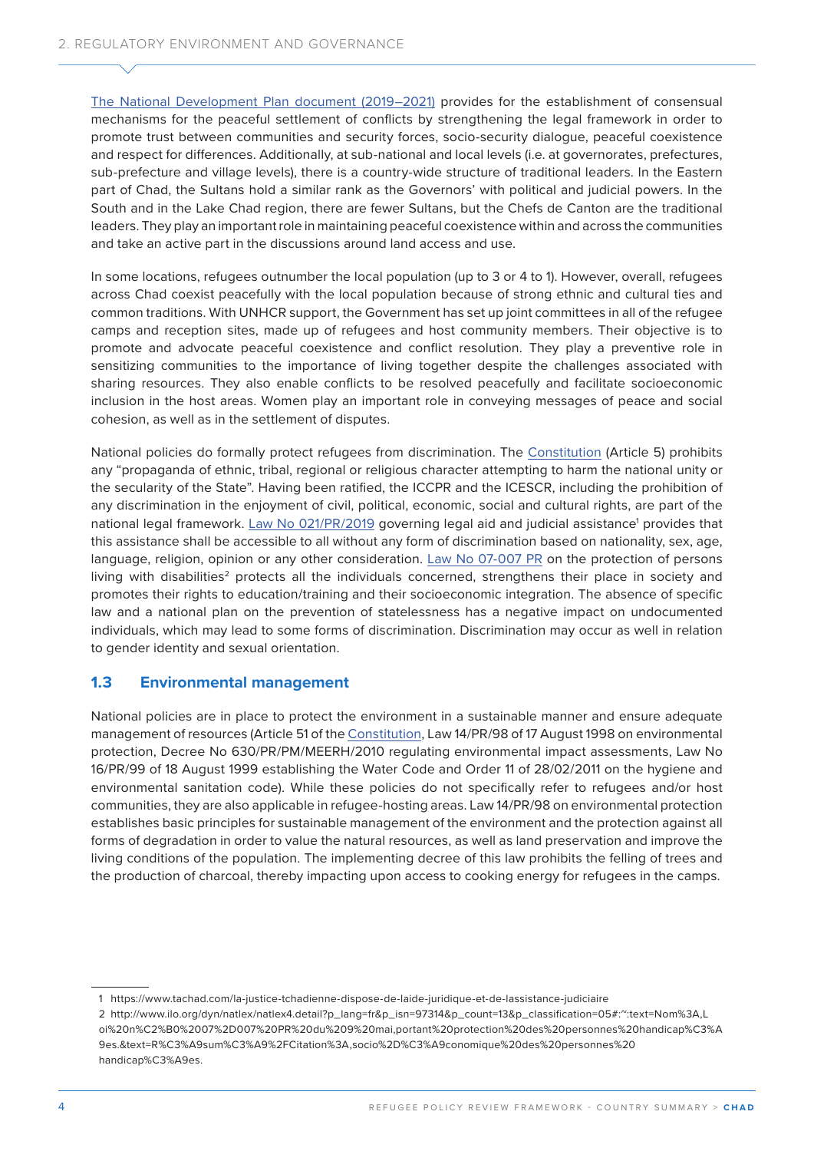[The National Development Plan document \(2019–2021\)](https://chad.un.org/sites/default/files/2020-02/PND%20Chad.pdf) provides for the establishment of consensual mechanisms for the peaceful settlement of conflicts by strengthening the legal framework in order to promote trust between communities and security forces, socio-security dialogue, peaceful coexistence and respect for differences. Additionally, at sub-national and local levels (i.e. at governorates, prefectures, sub-prefecture and village levels), there is a country-wide structure of traditional leaders. In the Eastern part of Chad, the Sultans hold a similar rank as the Governors' with political and judicial powers. In the South and in the Lake Chad region, there are fewer Sultans, but the Chefs de Canton are the traditional leaders. They play an important role in maintaining peaceful coexistence within and across the communities and take an active part in the discussions around land access and use.

In some locations, refugees outnumber the local population (up to 3 or 4 to 1). However, overall, refugees across Chad coexist peacefully with the local population because of strong ethnic and cultural ties and common traditions. With UNHCR support, the Government has set up joint committees in all of the refugee camps and reception sites, made up of refugees and host community members. Their objective is to promote and advocate peaceful coexistence and conflict resolution. They play a preventive role in sensitizing communities to the importance of living together despite the challenges associated with sharing resources. They also enable conflicts to be resolved peacefully and facilitate socioeconomic inclusion in the host areas. Women play an important role in conveying messages of peace and social cohesion, as well as in the settlement of disputes.

National policies do formally protect refugees from discrimination. The [Constitution](https://www.refworld.org/docid/609e8da34.html) (Article 5) prohibits any "propaganda of ethnic, tribal, regional or religious character attempting to harm the national unity or the secularity of the State". Having been ratified, the ICCPR and the ICESCR, including the prohibition of any discrimination in the enjoyment of civil, political, economic, social and cultural rights, are part of the national legal framework. <u>[Law No 021/PR/2019](https://www.refworld.org/docid/609f00834.html)</u> governing legal aid and judicial assistance<sup>1</sup> provides that this assistance shall be accessible to all without any form of discrimination based on nationality, sex, age, language, religion, opinion or any other consideration. [Law No 07-007 PR](https://www.refworld.org/docid/609f153a4.html) on the protection of persons living with disabilities<sup>2</sup> protects all the individuals concerned, strengthens their place in society and promotes their rights to education/training and their socioeconomic integration. The absence of specific law and a national plan on the prevention of statelessness has a negative impact on undocumented individuals, which may lead to some forms of discrimination. Discrimination may occur as well in relation to gender identity and sexual orientation.

#### **1.3 Environmental management**

National policies are in place to protect the environment in a sustainable manner and ensure adequate management of resources (Article 51 of the [Constitution](https://www.refworld.org/docid/609e8da34.html), Law 14/PR/98 of 17 August 1998 on environmental protection, Decree No 630/PR/PM/MEERH/2010 regulating environmental impact assessments, Law No 16/PR/99 of 18 August 1999 establishing the Water Code and Order 11 of 28/02/2011 on the hygiene and environmental sanitation code). While these policies do not specifically refer to refugees and/or host communities, they are also applicable in refugee-hosting areas. Law 14/PR/98 on environmental protection establishes basic principles for sustainable management of the environment and the protection against all forms of degradation in order to value the natural resources, as well as land preservation and improve the living conditions of the population. The implementing decree of this law prohibits the felling of trees and the production of charcoal, thereby impacting upon access to cooking energy for refugees in the camps.

<sup>1</sup> https://www.tachad.com/la-justice-tchadienne-dispose-de-laide-juridique-et-de-lassistance-judiciaire 2 http://www.ilo.org/dyn/natlex/natlex4.detail?p\_lang=fr&p\_isn=97314&p\_count=13&p\_classification=05#:~:text=Nom%3A,L oi%20n%C2%B0%2007%2D007%20PR%20du%209%20mai,portant%20protection%20des%20personnes%20handicap%C3%A 9es.&text=R%C3%A9sum%C3%A9%2FCitation%3A,socio%2D%C3%A9conomique%20des%20personnes%20 handicap%C3%A9es.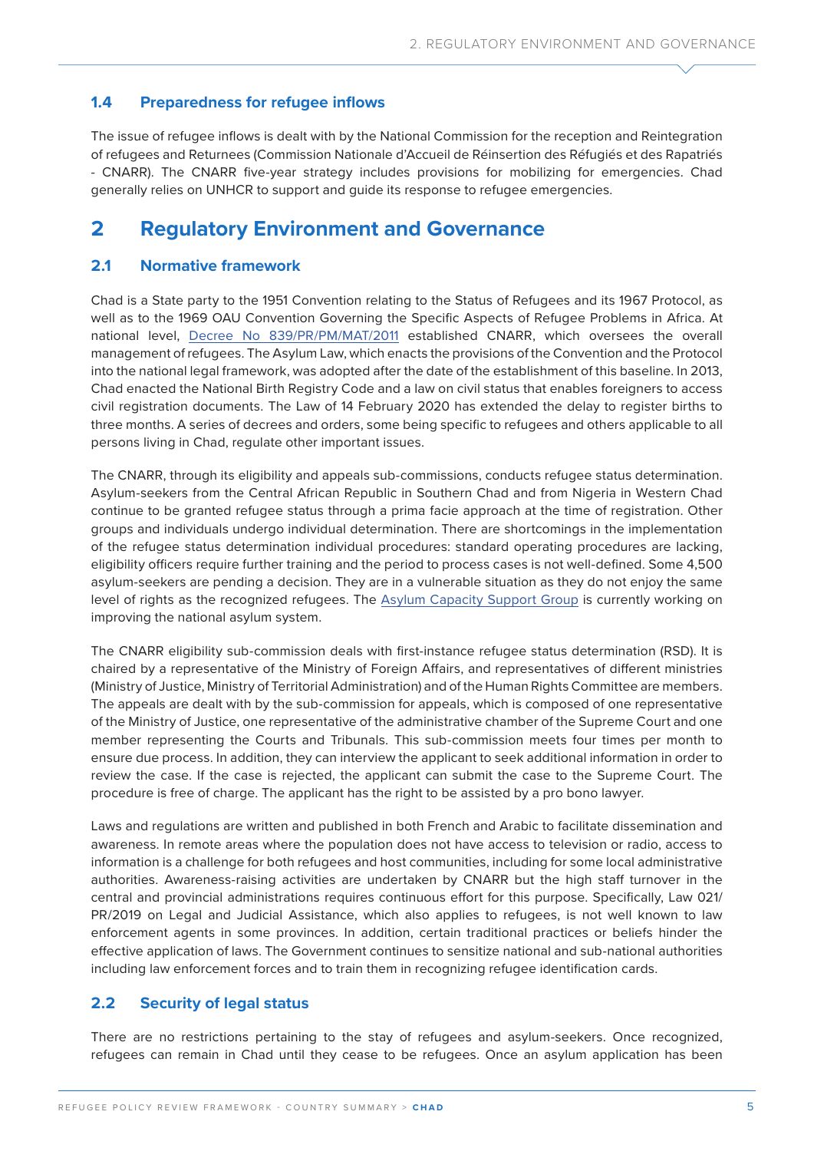### **1.4 Preparedness for refugee inflows**

The issue of refugee inflows is dealt with by the National Commission for the reception and Reintegration of refugees and Returnees (Commission Nationale d'Accueil de Réinsertion des Réfugiés et des Rapatriés - CNARR). The CNARR five-year strategy includes provisions for mobilizing for emergencies. Chad generally relies on UNHCR to support and guide its response to refugee emergencies.

# **2 Regulatory Environment and Governance**

### **2.1 Normative framework**

Chad is a State party to the 1951 Convention relating to the Status of Refugees and its 1967 Protocol, as well as to the 1969 OAU Convention Governing the Specific Aspects of Refugee Problems in Africa. At national level, [Decree No 839/PR/PM/MAT/2011](https://www.refworld.org/docid/609efe754.html) established CNARR, which oversees the overall management of refugees. The Asylum Law, which enacts the provisions of the Convention and the Protocol into the national legal framework, was adopted after the date of the establishment of this baseline. In 2013, Chad enacted the National Birth Registry Code and a law on civil status that enables foreigners to access civil registration documents. The Law of 14 February 2020 has extended the delay to register births to three months. A series of decrees and orders, some being specific to refugees and others applicable to all persons living in Chad, regulate other important issues.

The CNARR, through its eligibility and appeals sub-commissions, conducts refugee status determination. Asylum-seekers from the Central African Republic in Southern Chad and from Nigeria in Western Chad continue to be granted refugee status through a prima facie approach at the time of registration. Other groups and individuals undergo individual determination. There are shortcomings in the implementation of the refugee status determination individual procedures: standard operating procedures are lacking, eligibility officers require further training and the period to process cases is not well-defined. Some 4,500 asylum-seekers are pending a decision. They are in a vulnerable situation as they do not enjoy the same level of rights as the recognized refugees. The [Asylum Capacity Support Group](https://www.unhcr.org/5cc1aba44.pdf) is currently working on improving the national asylum system.

The CNARR eligibility sub-commission deals with first-instance refugee status determination (RSD). It is chaired by a representative of the Ministry of Foreign Affairs, and representatives of different ministries (Ministry of Justice, Ministry of Territorial Administration) and of the Human Rights Committee are members. The appeals are dealt with by the sub-commission for appeals, which is composed of one representative of the Ministry of Justice, one representative of the administrative chamber of the Supreme Court and one member representing the Courts and Tribunals. This sub-commission meets four times per month to ensure due process. In addition, they can interview the applicant to seek additional information in order to review the case. If the case is rejected, the applicant can submit the case to the Supreme Court. The procedure is free of charge. The applicant has the right to be assisted by a pro bono lawyer.

Laws and regulations are written and published in both French and Arabic to facilitate dissemination and awareness. In remote areas where the population does not have access to television or radio, access to information is a challenge for both refugees and host communities, including for some local administrative authorities. Awareness-raising activities are undertaken by CNARR but the high staff turnover in the central and provincial administrations requires continuous effort for this purpose. Specifically, Law 021/ PR/2019 on Legal and Judicial Assistance, which also applies to refugees, is not well known to law enforcement agents in some provinces. In addition, certain traditional practices or beliefs hinder the effective application of laws. The Government continues to sensitize national and sub-national authorities including law enforcement forces and to train them in recognizing refugee identification cards.

### **2.2 Security of legal status**

There are no restrictions pertaining to the stay of refugees and asylum-seekers. Once recognized, refugees can remain in Chad until they cease to be refugees. Once an asylum application has been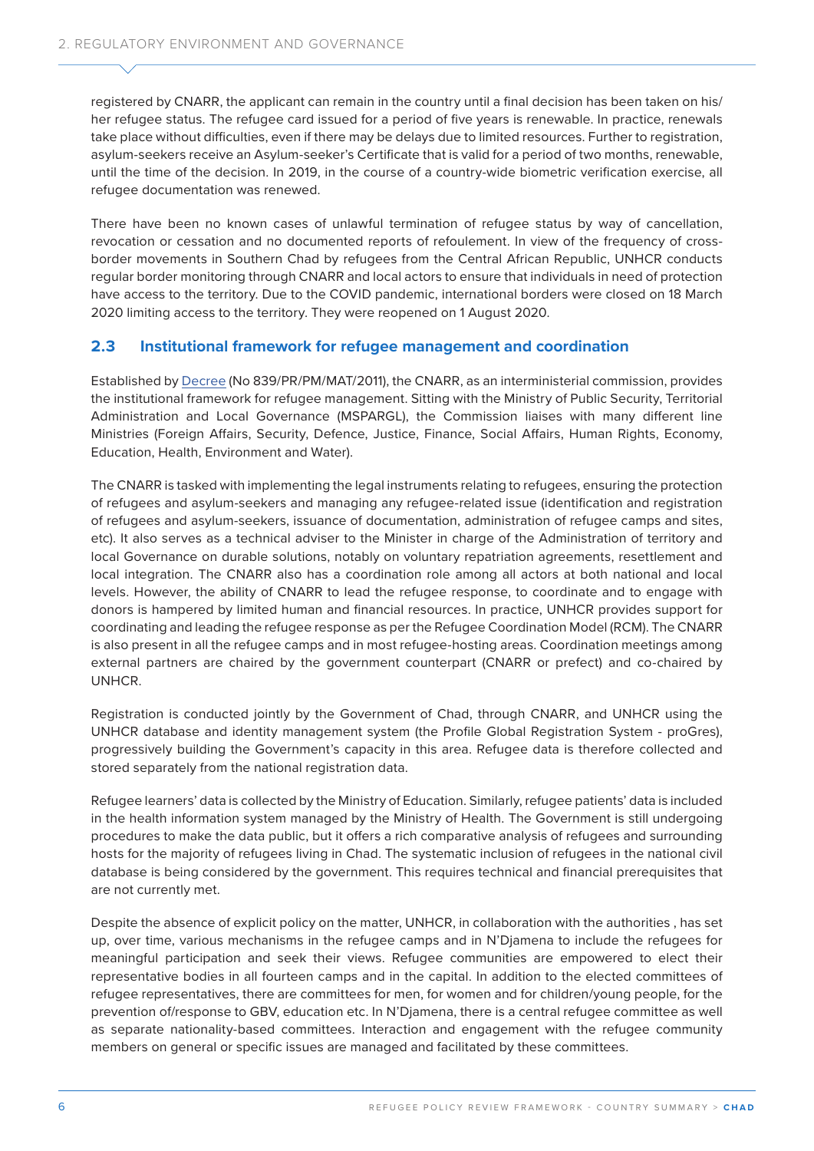registered by CNARR, the applicant can remain in the country until a final decision has been taken on his/ her refugee status. The refugee card issued for a period of five years is renewable. In practice, renewals take place without difficulties, even if there may be delays due to limited resources. Further to registration, asylum-seekers receive an Asylum-seeker's Certificate that is valid for a period of two months, renewable, until the time of the decision. In 2019, in the course of a country-wide biometric verification exercise, all refugee documentation was renewed.

There have been no known cases of unlawful termination of refugee status by way of cancellation, revocation or cessation and no documented reports of refoulement. In view of the frequency of crossborder movements in Southern Chad by refugees from the Central African Republic, UNHCR conducts regular border monitoring through CNARR and local actors to ensure that individuals in need of protection have access to the territory. Due to the COVID pandemic, international borders were closed on 18 March 2020 limiting access to the territory. They were reopened on 1 August 2020.

# **2.3 Institutional framework for refugee management and coordination**

Established by [Decree](https://www.refworld.org/docid/609efe754.html) (No 839/PR/PM/MAT/2011), the CNARR, as an interministerial commission, provides the institutional framework for refugee management. Sitting with the Ministry of Public Security, Territorial Administration and Local Governance (MSPARGL), the Commission liaises with many different line Ministries (Foreign Affairs, Security, Defence, Justice, Finance, Social Affairs, Human Rights, Economy, Education, Health, Environment and Water).

The CNARR is tasked with implementing the legal instruments relating to refugees, ensuring the protection of refugees and asylum-seekers and managing any refugee-related issue (identification and registration of refugees and asylum-seekers, issuance of documentation, administration of refugee camps and sites, etc). It also serves as a technical adviser to the Minister in charge of the Administration of territory and local Governance on durable solutions, notably on voluntary repatriation agreements, resettlement and local integration. The CNARR also has a coordination role among all actors at both national and local levels. However, the ability of CNARR to lead the refugee response, to coordinate and to engage with donors is hampered by limited human and financial resources. In practice, UNHCR provides support for coordinating and leading the refugee response as per the Refugee Coordination Model (RCM). The CNARR is also present in all the refugee camps and in most refugee-hosting areas. Coordination meetings among external partners are chaired by the government counterpart (CNARR or prefect) and co-chaired by UNHCR.

Registration is conducted jointly by the Government of Chad, through CNARR, and UNHCR using the UNHCR database and identity management system (the Profile Global Registration System - proGres), progressively building the Government's capacity in this area. Refugee data is therefore collected and stored separately from the national registration data.

Refugee learners' data is collected by the Ministry of Education. Similarly, refugee patients' data is included in the health information system managed by the Ministry of Health. The Government is still undergoing procedures to make the data public, but it offers a rich comparative analysis of refugees and surrounding hosts for the majority of refugees living in Chad. The systematic inclusion of refugees in the national civil database is being considered by the government. This requires technical and financial prerequisites that are not currently met.

Despite the absence of explicit policy on the matter, UNHCR, in collaboration with the authorities , has set up, over time, various mechanisms in the refugee camps and in N'Djamena to include the refugees for meaningful participation and seek their views. Refugee communities are empowered to elect their representative bodies in all fourteen camps and in the capital. In addition to the elected committees of refugee representatives, there are committees for men, for women and for children/young people, for the prevention of/response to GBV, education etc. In N'Djamena, there is a central refugee committee as well as separate nationality-based committees. Interaction and engagement with the refugee community members on general or specific issues are managed and facilitated by these committees.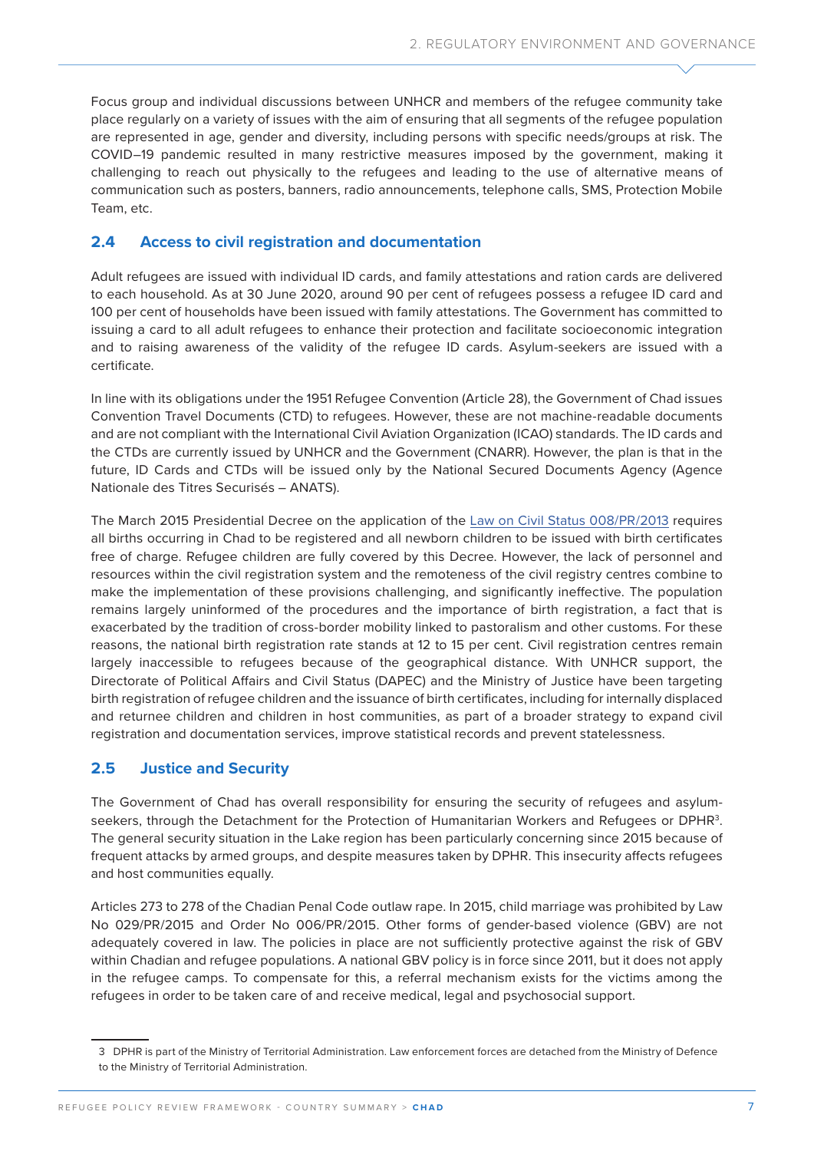Focus group and individual discussions between UNHCR and members of the refugee community take place regularly on a variety of issues with the aim of ensuring that all segments of the refugee population are represented in age, gender and diversity, including persons with specific needs/groups at risk. The COVID–19 pandemic resulted in many restrictive measures imposed by the government, making it challenging to reach out physically to the refugees and leading to the use of alternative means of communication such as posters, banners, radio announcements, telephone calls, SMS, Protection Mobile Team, etc.

# **2.4 Access to civil registration and documentation**

Adult refugees are issued with individual ID cards, and family attestations and ration cards are delivered to each household. As at 30 June 2020, around 90 per cent of refugees possess a refugee ID card and 100 per cent of households have been issued with family attestations. The Government has committed to issuing a card to all adult refugees to enhance their protection and facilitate socioeconomic integration and to raising awareness of the validity of the refugee ID cards. Asylum-seekers are issued with a certificate.

In line with its obligations under the 1951 Refugee Convention (Article 28), the Government of Chad issues Convention Travel Documents (CTD) to refugees. However, these are not machine-readable documents and are not compliant with the International Civil Aviation Organization (ICAO) standards. The ID cards and the CTDs are currently issued by UNHCR and the Government (CNARR). However, the plan is that in the future, ID Cards and CTDs will be issued only by the National Secured Documents Agency (Agence Nationale des Titres Securisés – ANATS).

The March 2015 Presidential Decree on the application of the [Law on Civil Status 008/PR/2013](http://citizenshiprightsafrica.org/wp-content/uploads/2020/11/Tchad-Loi-no-13-08-Etat-Civil-10-mai-2013.pdf) requires all births occurring in Chad to be registered and all newborn children to be issued with birth certificates free of charge. Refugee children are fully covered by this Decree. However, the lack of personnel and resources within the civil registration system and the remoteness of the civil registry centres combine to make the implementation of these provisions challenging, and significantly ineffective. The population remains largely uninformed of the procedures and the importance of birth registration, a fact that is exacerbated by the tradition of cross-border mobility linked to pastoralism and other customs. For these reasons, the national birth registration rate stands at 12 to 15 per cent. Civil registration centres remain largely inaccessible to refugees because of the geographical distance. With UNHCR support, the Directorate of Political Affairs and Civil Status (DAPEC) and the Ministry of Justice have been targeting birth registration of refugee children and the issuance of birth certificates, including for internally displaced and returnee children and children in host communities, as part of a broader strategy to expand civil registration and documentation services, improve statistical records and prevent statelessness.

# **2.5 Justice and Security**

The Government of Chad has overall responsibility for ensuring the security of refugees and asylumseekers, through the Detachment for the Protection of Humanitarian Workers and Refugees or DPHR<sup>3</sup>. The general security situation in the Lake region has been particularly concerning since 2015 because of frequent attacks by armed groups, and despite measures taken by DPHR. This insecurity affects refugees and host communities equally.

Articles 273 to 278 of the Chadian Penal Code outlaw rape. In 2015, child marriage was prohibited by Law No 029/PR/2015 and Order No 006/PR/2015. Other forms of gender-based violence (GBV) are not adequately covered in law. The policies in place are not sufficiently protective against the risk of GBV within Chadian and refugee populations. A national GBV policy is in force since 2011, but it does not apply in the refugee camps. To compensate for this, a referral mechanism exists for the victims among the refugees in order to be taken care of and receive medical, legal and psychosocial support.

<sup>3</sup> DPHR is part of the Ministry of Territorial Administration. Law enforcement forces are detached from the Ministry of Defence to the Ministry of Territorial Administration.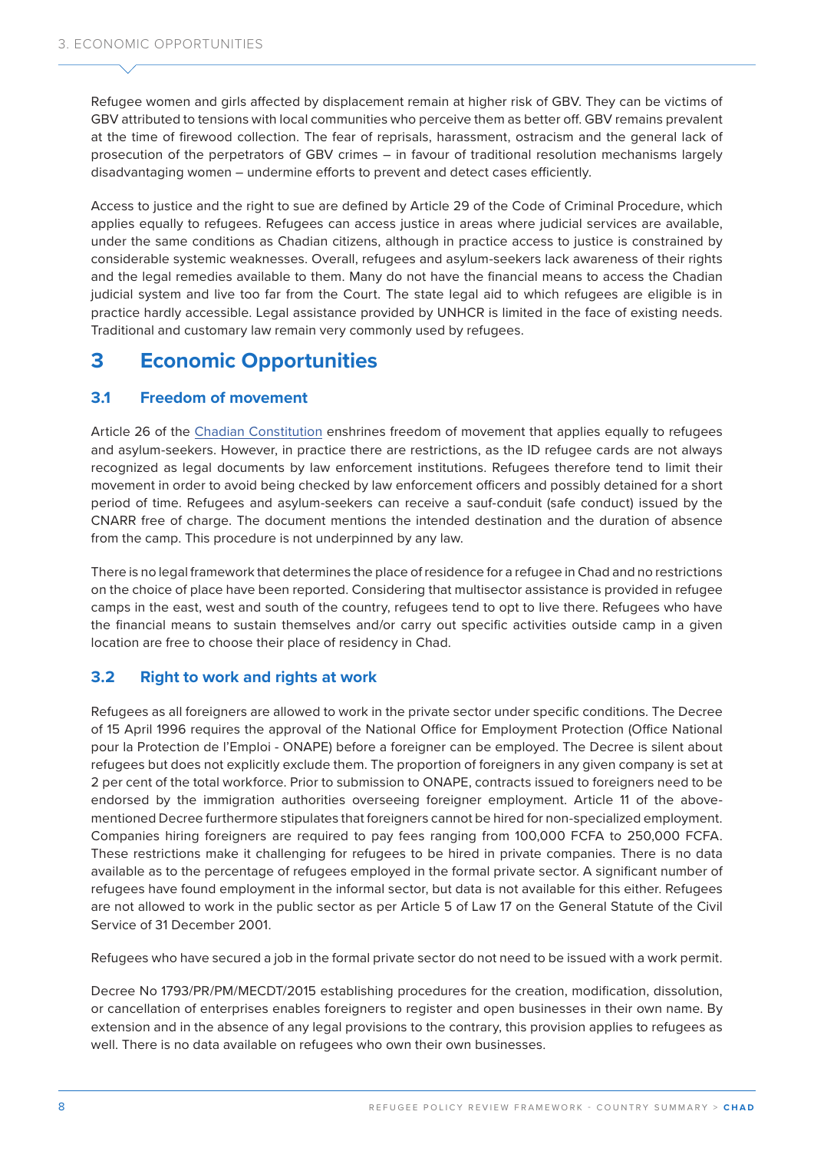Refugee women and girls affected by displacement remain at higher risk of GBV. They can be victims of GBV attributed to tensions with local communities who perceive them as better off. GBV remains prevalent at the time of firewood collection. The fear of reprisals, harassment, ostracism and the general lack of prosecution of the perpetrators of GBV crimes – in favour of traditional resolution mechanisms largely disadvantaging women – undermine efforts to prevent and detect cases efficiently.

Access to justice and the right to sue are defined by Article 29 of the Code of Criminal Procedure, which applies equally to refugees. Refugees can access justice in areas where judicial services are available, under the same conditions as Chadian citizens, although in practice access to justice is constrained by considerable systemic weaknesses. Overall, refugees and asylum-seekers lack awareness of their rights and the legal remedies available to them. Many do not have the financial means to access the Chadian judicial system and live too far from the Court. The state legal aid to which refugees are eligible is in practice hardly accessible. Legal assistance provided by UNHCR is limited in the face of existing needs. Traditional and customary law remain very commonly used by refugees.

# **3 Economic Opportunities**

# **3.1 Freedom of movement**

Article 26 of the [Chadian Constitution](https://www.refworld.org/docid/609e8da34.html) enshrines freedom of movement that applies equally to refugees and asylum-seekers. However, in practice there are restrictions, as the ID refugee cards are not always recognized as legal documents by law enforcement institutions. Refugees therefore tend to limit their movement in order to avoid being checked by law enforcement officers and possibly detained for a short period of time. Refugees and asylum-seekers can receive a sauf-conduit (safe conduct) issued by the CNARR free of charge. The document mentions the intended destination and the duration of absence from the camp. This procedure is not underpinned by any law.

There is no legal framework that determines the place of residence for a refugee in Chad and no restrictions on the choice of place have been reported. Considering that multisector assistance is provided in refugee camps in the east, west and south of the country, refugees tend to opt to live there. Refugees who have the financial means to sustain themselves and/or carry out specific activities outside camp in a given location are free to choose their place of residency in Chad.

# **3.2 Right to work and rights at work**

Refugees as all foreigners are allowed to work in the private sector under specific conditions. The Decree of 15 April 1996 requires the approval of the National Office for Employment Protection (Office National pour la Protection de l'Emploi - ONAPE) before a foreigner can be employed. The Decree is silent about refugees but does not explicitly exclude them. The proportion of foreigners in any given company is set at 2 per cent of the total workforce. Prior to submission to ONAPE, contracts issued to foreigners need to be endorsed by the immigration authorities overseeing foreigner employment. Article 11 of the abovementioned Decree furthermore stipulates that foreigners cannot be hired for non-specialized employment. Companies hiring foreigners are required to pay fees ranging from 100,000 FCFA to 250,000 FCFA. These restrictions make it challenging for refugees to be hired in private companies. There is no data available as to the percentage of refugees employed in the formal private sector. A significant number of refugees have found employment in the informal sector, but data is not available for this either. Refugees are not allowed to work in the public sector as per Article 5 of Law 17 on the General Statute of the Civil Service of 31 December 2001.

Refugees who have secured a job in the formal private sector do not need to be issued with a work permit.

Decree No 1793/PR/PM/MECDT/2015 establishing procedures for the creation, modification, dissolution, or cancellation of enterprises enables foreigners to register and open businesses in their own name. By extension and in the absence of any legal provisions to the contrary, this provision applies to refugees as well. There is no data available on refugees who own their own businesses.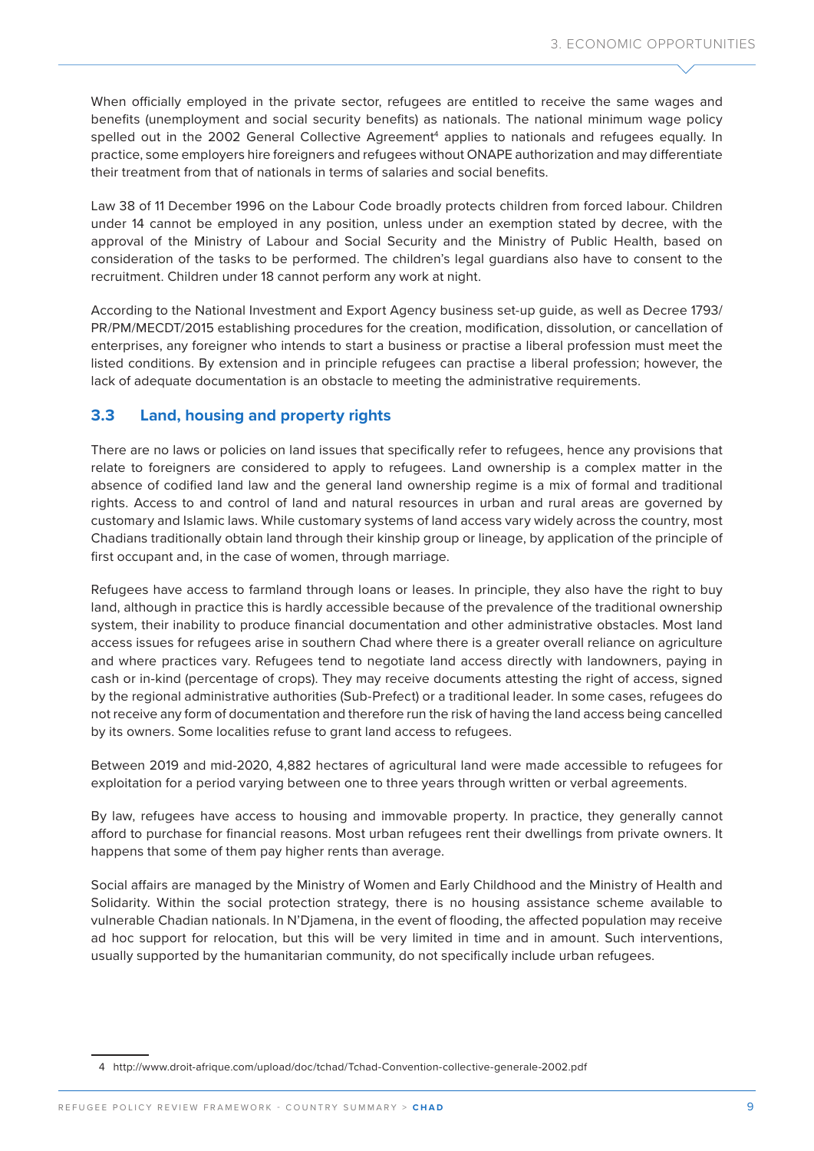When officially employed in the private sector, refugees are entitled to receive the same wages and benefits (unemployment and social security benefits) as nationals. The national minimum wage policy spelled out in the 2002 General Collective Agreement<sup>4</sup> applies to nationals and refugees equally. In practice, some employers hire foreigners and refugees without ONAPE authorization and may differentiate their treatment from that of nationals in terms of salaries and social benefits.

Law 38 of 11 December 1996 on the Labour Code broadly protects children from forced labour. Children under 14 cannot be employed in any position, unless under an exemption stated by decree, with the approval of the Ministry of Labour and Social Security and the Ministry of Public Health, based on consideration of the tasks to be performed. The children's legal guardians also have to consent to the recruitment. Children under 18 cannot perform any work at night.

According to the National Investment and Export Agency business set-up guide, as well as Decree 1793/ PR/PM/MECDT/2015 establishing procedures for the creation, modification, dissolution, or cancellation of enterprises, any foreigner who intends to start a business or practise a liberal profession must meet the listed conditions. By extension and in principle refugees can practise a liberal profession; however, the lack of adequate documentation is an obstacle to meeting the administrative requirements.

#### **3.3 Land, housing and property rights**

There are no laws or policies on land issues that specifically refer to refugees, hence any provisions that relate to foreigners are considered to apply to refugees. Land ownership is a complex matter in the absence of codified land law and the general land ownership regime is a mix of formal and traditional rights. Access to and control of land and natural resources in urban and rural areas are governed by customary and Islamic laws. While customary systems of land access vary widely across the country, most Chadians traditionally obtain land through their kinship group or lineage, by application of the principle of first occupant and, in the case of women, through marriage.

Refugees have access to farmland through loans or leases. In principle, they also have the right to buy land, although in practice this is hardly accessible because of the prevalence of the traditional ownership system, their inability to produce financial documentation and other administrative obstacles. Most land access issues for refugees arise in southern Chad where there is a greater overall reliance on agriculture and where practices vary. Refugees tend to negotiate land access directly with landowners, paying in cash or in-kind (percentage of crops). They may receive documents attesting the right of access, signed by the regional administrative authorities (Sub-Prefect) or a traditional leader. In some cases, refugees do not receive any form of documentation and therefore run the risk of having the land access being cancelled by its owners. Some localities refuse to grant land access to refugees.

Between 2019 and mid-2020, 4,882 hectares of agricultural land were made accessible to refugees for exploitation for a period varying between one to three years through written or verbal agreements.

By law, refugees have access to housing and immovable property. In practice, they generally cannot afford to purchase for financial reasons. Most urban refugees rent their dwellings from private owners. It happens that some of them pay higher rents than average.

Social affairs are managed by the Ministry of Women and Early Childhood and the Ministry of Health and Solidarity. Within the social protection strategy, there is no housing assistance scheme available to vulnerable Chadian nationals. In N'Djamena, in the event of flooding, the affected population may receive ad hoc support for relocation, but this will be very limited in time and in amount. Such interventions, usually supported by the humanitarian community, do not specifically include urban refugees.

<sup>4</sup> http://www.droit-afrique.com/upload/doc/tchad/Tchad-Convention-collective-generale-2002.pdf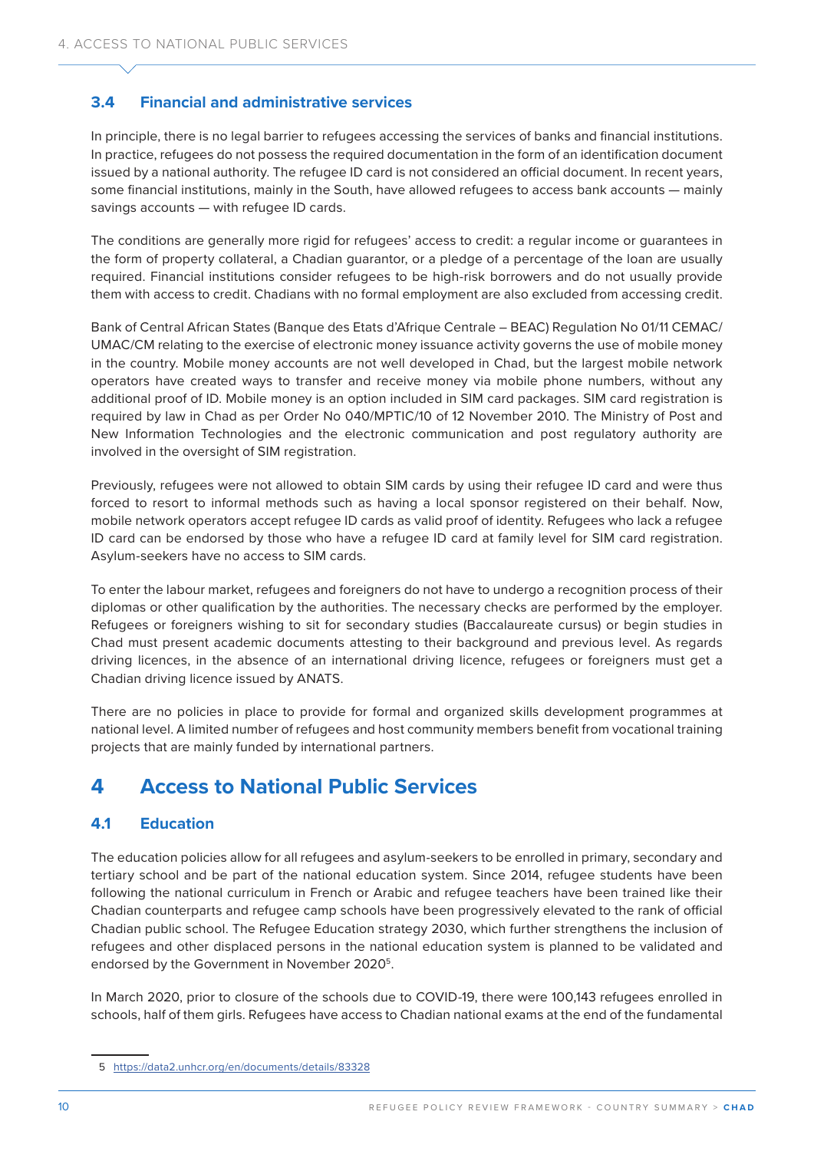# **3.4 Financial and administrative services**

In principle, there is no legal barrier to refugees accessing the services of banks and financial institutions. In practice, refugees do not possess the required documentation in the form of an identification document issued by a national authority. The refugee ID card is not considered an official document. In recent years, some financial institutions, mainly in the South, have allowed refugees to access bank accounts — mainly savings accounts — with refugee ID cards.

The conditions are generally more rigid for refugees' access to credit: a regular income or guarantees in the form of property collateral, a Chadian guarantor, or a pledge of a percentage of the loan are usually required. Financial institutions consider refugees to be high-risk borrowers and do not usually provide them with access to credit. Chadians with no formal employment are also excluded from accessing credit.

Bank of Central African States (Banque des Etats d'Afrique Centrale – BEAC) Regulation No 01/11 CEMAC/ UMAC/CM relating to the exercise of electronic money issuance activity governs the use of mobile money in the country. Mobile money accounts are not well developed in Chad, but the largest mobile network operators have created ways to transfer and receive money via mobile phone numbers, without any additional proof of ID. Mobile money is an option included in SIM card packages. SIM card registration is required by law in Chad as per Order No 040/MPTIC/10 of 12 November 2010. The Ministry of Post and New Information Technologies and the electronic communication and post regulatory authority are involved in the oversight of SIM registration.

Previously, refugees were not allowed to obtain SIM cards by using their refugee ID card and were thus forced to resort to informal methods such as having a local sponsor registered on their behalf. Now, mobile network operators accept refugee ID cards as valid proof of identity. Refugees who lack a refugee ID card can be endorsed by those who have a refugee ID card at family level for SIM card registration. Asylum-seekers have no access to SIM cards.

To enter the labour market, refugees and foreigners do not have to undergo a recognition process of their diplomas or other qualification by the authorities. The necessary checks are performed by the employer. Refugees or foreigners wishing to sit for secondary studies (Baccalaureate cursus) or begin studies in Chad must present academic documents attesting to their background and previous level. As regards driving licences, in the absence of an international driving licence, refugees or foreigners must get a Chadian driving licence issued by ANATS.

There are no policies in place to provide for formal and organized skills development programmes at national level. A limited number of refugees and host community members benefit from vocational training projects that are mainly funded by international partners.

# **4 Access to National Public Services**

# **4.1 Education**

The education policies allow for all refugees and asylum-seekers to be enrolled in primary, secondary and tertiary school and be part of the national education system. Since 2014, refugee students have been following the national curriculum in French or Arabic and refugee teachers have been trained like their Chadian counterparts and refugee camp schools have been progressively elevated to the rank of official Chadian public school. The Refugee Education strategy [2030](about:blank), which further strengthens the inclusion of refugees and other displaced persons in the national education system is planned to be validated and endorsed by the Government in November 2020<sup>5</sup>.

In March 2020, prior to closure of the schools due to COVID-19, there were 100,143 refugees enrolled in schools, half of them girls. Refugees have access to Chadian national exams at the end of the fundamental

<sup>5</sup> <https://data2.unhcr.org/en/documents/details/83328>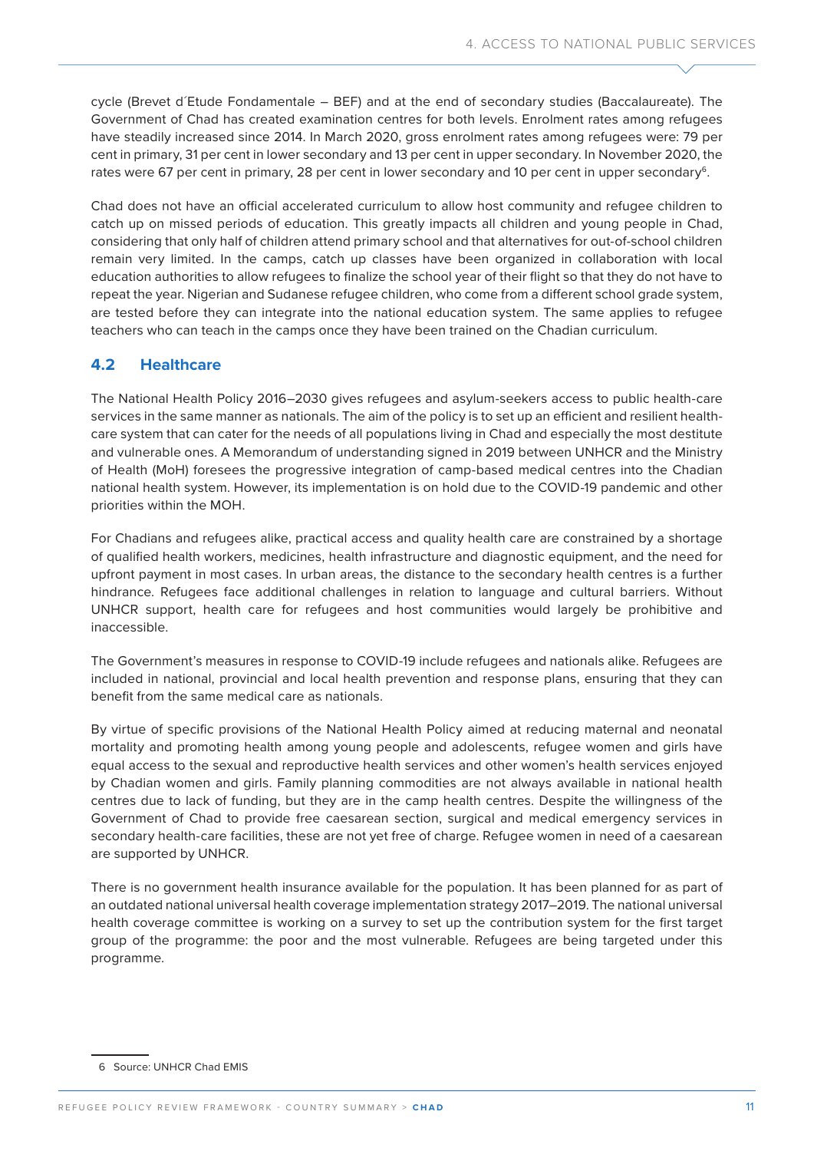cycle (Brevet d´Etude Fondamentale – BEF) and at the end of secondary studies (Baccalaureate). The Government of Chad has created examination centres for both levels. Enrolment rates among refugees have steadily increased since 2014. In March 2020, gross enrolment rates among refugees were: 79 per cent in primary, 31 per cent in lower secondary and 13 per cent in upper secondary. In November 2020, the rates were 67 per cent in primary, 28 per cent in lower secondary and 10 per cent in upper secondary<sup>6</sup>.

Chad does not have an official accelerated curriculum to allow host community and refugee children to catch up on missed periods of education. This greatly impacts all children and young people in Chad, considering that only half of children attend primary school and that alternatives for out-of-school children remain very limited. In the camps, catch up classes have been organized in collaboration with local education authorities to allow refugees to finalize the school year of their flight so that they do not have to repeat the year. Nigerian and Sudanese refugee children, who come from a different school grade system, are tested before they can integrate into the national education system. The same applies to refugee teachers who can teach in the camps once they have been trained on the Chadian curriculum.

# **4.2 Healthcare**

The National Health Policy 2016–2030 gives refugees and asylum-seekers access to public health-care services in the same manner as nationals. The aim of the policy is to set up an efficient and resilient healthcare system that can cater for the needs of all populations living in Chad and especially the most destitute and vulnerable ones. A Memorandum of understanding signed in 2019 between UNHCR and the Ministry of Health (MoH) foresees the progressive integration of camp-based medical centres into the Chadian national health system. However, its implementation is on hold due to the COVID-19 pandemic and other priorities within the MOH.

For Chadians and refugees alike, practical access and quality health care are constrained by a shortage of qualified health workers, medicines, health infrastructure and diagnostic equipment, and the need for upfront payment in most cases. In urban areas, the distance to the secondary health centres is a further hindrance. Refugees face additional challenges in relation to language and cultural barriers. Without UNHCR support, health care for refugees and host communities would largely be prohibitive and inaccessible.

The Government's measures in response to COVID-19 include refugees and nationals alike. Refugees are included in national, provincial and local health prevention and response plans, ensuring that they can benefit from the same medical care as nationals.

By virtue of specific provisions of the National Health Policy aimed at reducing maternal and neonatal mortality and promoting health among young people and adolescents, refugee women and girls have equal access to the sexual and reproductive health services and other women's health services enjoyed by Chadian women and girls. Family planning commodities are not always available in national health centres due to lack of funding, but they are in the camp health centres. Despite the willingness of the Government of Chad to provide free caesarean section, surgical and medical emergency services in secondary health-care facilities, these are not yet free of charge. Refugee women in need of a caesarean are supported by UNHCR.

There is no government health insurance available for the population. It has been planned for as part of an outdated national universal health coverage implementation strategy 2017–2019. The national universal health coverage committee is working on a survey to set up the contribution system for the first target group of the programme: the poor and the most vulnerable. Refugees are being targeted under this programme.

<sup>6</sup> Source: UNHCR Chad EMIS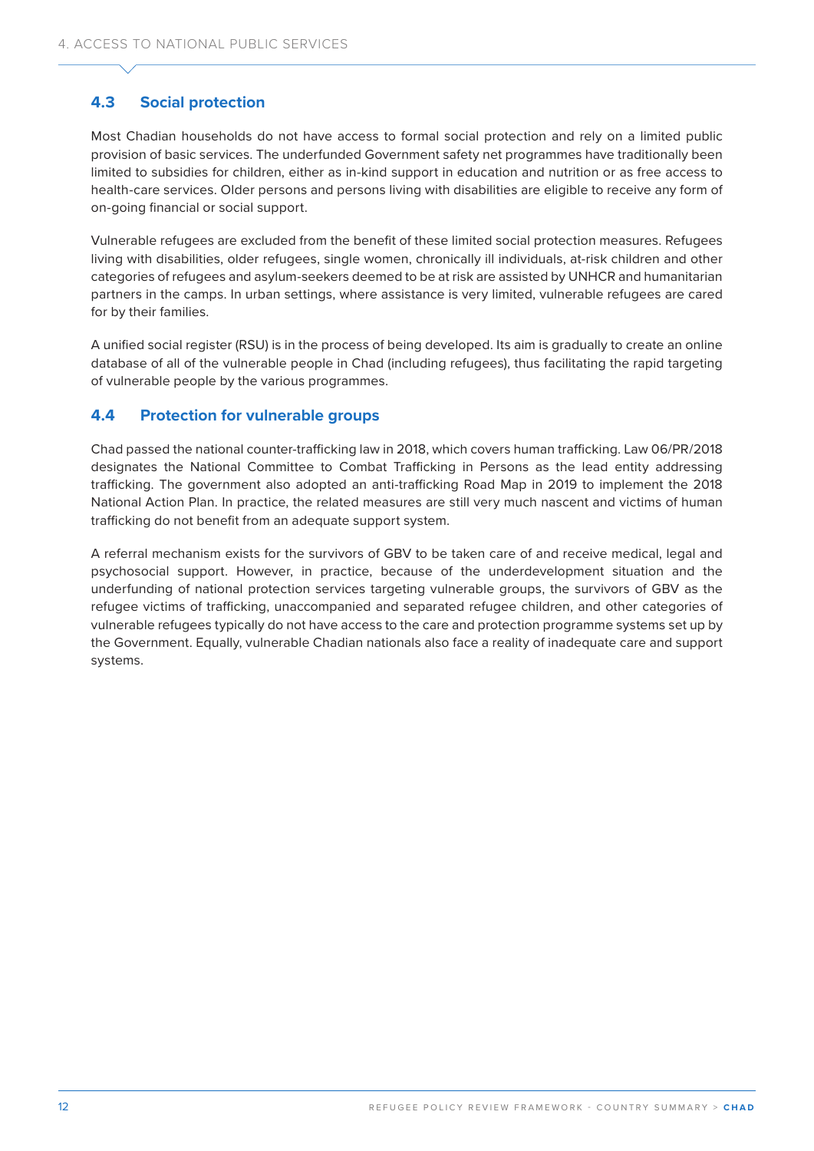# **4.3 Social protection**

Most Chadian households do not have access to formal social protection and rely on a limited public provision of basic services. The underfunded Government safety net programmes have traditionally been limited to subsidies for children, either as in-kind support in education and nutrition or as free access to health-care services. Older persons and persons living with disabilities are eligible to receive any form of on-going financial or social support.

Vulnerable refugees are excluded from the benefit of these limited social protection measures. Refugees living with disabilities, older refugees, single women, chronically ill individuals, at-risk children and other categories of refugees and asylum-seekers deemed to be at risk are assisted by UNHCR and humanitarian partners in the camps. In urban settings, where assistance is very limited, vulnerable refugees are cared for by their families.

A unified social register (RSU) is in the process of being developed. Its aim is gradually to create an online database of all of the vulnerable people in Chad (including refugees), thus facilitating the rapid targeting of vulnerable people by the various programmes.

# **4.4 Protection for vulnerable groups**

Chad passed the national counter-trafficking law in 2018, which covers human trafficking. Law 06/PR/2018 designates the National Committee to Combat Trafficking in Persons as the lead entity addressing trafficking. The government also adopted an anti-trafficking Road Map in 2019 to implement the 2018 National Action Plan. In practice, the related measures are still very much nascent and victims of human trafficking do not benefit from an adequate support system.

A referral mechanism exists for the survivors of GBV to be taken care of and receive medical, legal and psychosocial support. However, in practice, because of the underdevelopment situation and the underfunding of national protection services targeting vulnerable groups, the survivors of GBV as the refugee victims of trafficking, unaccompanied and separated refugee children, and other categories of vulnerable refugees typically do not have access to the care and protection programme systems set up by the Government. Equally, vulnerable Chadian nationals also face a reality of inadequate care and support systems.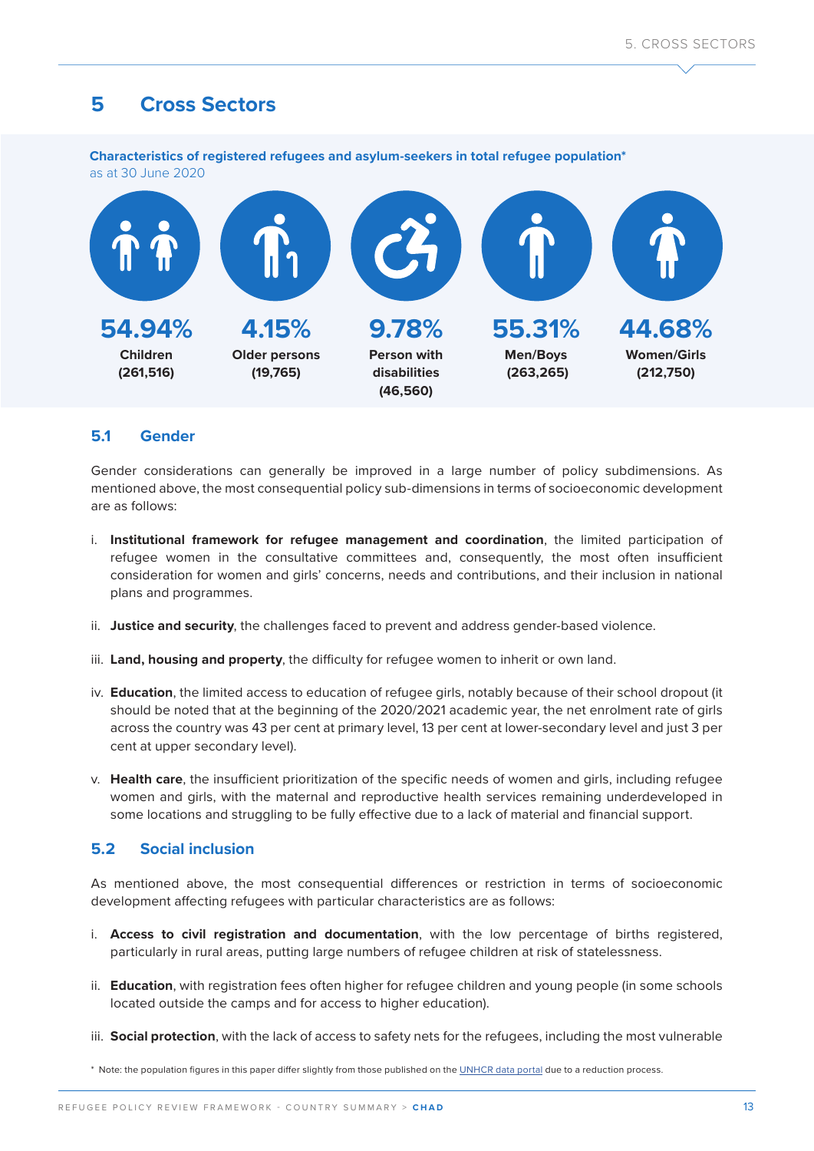# **5 Cross Sectors**

**Characteristics of registered refugees and asylum-seekers in total refugee population\***  as at 30 June 2020



### **5.1 Gender**

Gender considerations can generally be improved in a large number of policy subdimensions. As mentioned above, the most consequential policy sub-dimensions in terms of socioeconomic development are as follows:

- i. **Institutional framework for refugee management and coordination**, the limited participation of refugee women in the consultative committees and, consequently, the most often insufficient consideration for women and girls' concerns, needs and contributions, and their inclusion in national plans and programmes.
- ii. **Justice and security**, the challenges faced to prevent and address gender-based violence.
- iii. **Land, housing and property**, the difficulty for refugee women to inherit or own land.
- iv. **Education**, the limited access to education of refugee girls, notably because of their school dropout (it should be noted that at the beginning of the 2020/2021 academic year, the net enrolment rate of girls across the country was 43 per cent at primary level, 13 per cent at lower-secondary level and just 3 per cent at upper secondary level).
- v. **Health care**, the insufficient prioritization of the specific needs of women and girls, including refugee women and girls, with the maternal and reproductive health services remaining underdeveloped in some locations and struggling to be fully effective due to a lack of material and financial support.

#### **5.2 Social inclusion**

As mentioned above, the most consequential differences or restriction in terms of socioeconomic development affecting refugees with particular characteristics are as follows:

- i. **Access to civil registration and documentation**, with the low percentage of births registered, particularly in rural areas, putting large numbers of refugee children at risk of statelessness.
- ii. **Education**, with registration fees often higher for refugee children and young people (in some schools located outside the camps and for access to higher education).
- iii. **Social protection**, with the lack of access to safety nets for the refugees, including the most vulnerable

\* Note: the population figures in this paper differ slightly from those published on the [UNHCR data portal](https://www.unhcr.org/refugee-statistics/download/) due to a reduction process.